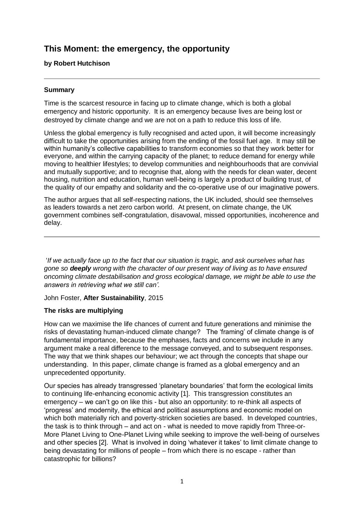# **This Moment: the emergency, the opportunity**

# **by Robert Hutchison**

## **Summary**

Time is the scarcest resource in facing up to climate change, which is both a global emergency and historic opportunity. It is an emergency because lives are being lost or destroyed by climate change and we are not on a path to reduce this loss of life.

Unless the global emergency is fully recognised and acted upon, it will become increasingly difficult to take the opportunities arising from the ending of the fossil fuel age. It may still be within humanity's collective capabilities to transform economies so that they work better for everyone, and within the carrying capacity of the planet; to reduce demand for energy while moving to healthier lifestyles; to develop communities and neighbourhoods that are convivial and mutually supportive; and to recognise that, along with the needs for clean water, decent housing, nutrition and education, human well-being is largely a product of building trust, of the quality of our empathy and solidarity and the co-operative use of our imaginative powers.

The author argues that all self-respecting nations, the UK included, should see themselves as leaders towards a net zero carbon world. At present, on climate change, the UK government combines self-congratulation, disavowal, missed opportunities, incoherence and delay.

'*If we actually face up to the fact that our situation is tragic, and ask ourselves what has gone so deeply wrong with the character of our present way of living as to have ensured oncoming climate destabilisation and gross ecological damage, we might be able to use the answers in retrieving what we still can'.* 

John Foster, **After Sustainability**, 2015

#### **The risks are multiplying**

How can we maximise the life chances of current and future generations and minimise the risks of devastating human-induced climate change? The 'framing' of climate change is of fundamental importance, because the emphases, facts and concerns we include in any argument make a real difference to the message conveyed, and to subsequent responses. The way that we think shapes our behaviour; we act through the concepts that shape our understanding. In this paper, climate change is framed as a global emergency and an unprecedented opportunity.

Our species has already transgressed 'planetary boundaries' that form the ecological limits to continuing life-enhancing economic activity [1]. This transgression constitutes an emergency – we can't go on like this - but also an opportunity: to re-think all aspects of 'progress' and modernity, the ethical and political assumptions and economic model on which both materially rich and poverty-stricken societies are based. In developed countries, the task is to think through – and act on - what is needed to move rapidly from Three-or-More Planet Living to One-Planet Living while seeking to improve the well-being of ourselves and other species [2]. What is involved in doing 'whatever it takes' to limit climate change to being devastating for millions of people – from which there is no escape - rather than catastrophic for billions?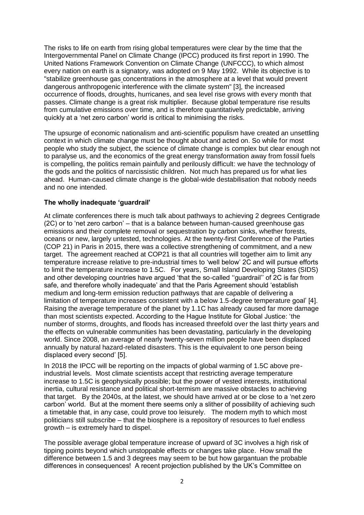The risks to life on earth from rising global temperatures were clear by the time that the Intergovernmental Panel on Climate Change (IPCC) produced its first report in 1990. The United Nations Framework Convention on Climate Change (UNFCCC), to which almost every nation on earth is a signatory, was adopted on 9 May 1992. While its objective is to "stabilize [greenhouse gas](https://en.wikipedia.org/wiki/Greenhouse_gas) concentrations in the atmosphere at a level that would prevent dangerous [anthropogenic interference](https://en.wikipedia.org/wiki/Human_impact_on_the_environment) with the [climate system"](https://en.wikipedia.org/wiki/Climate_system) [3], the increased occurrence of floods, droughts, hurricanes, and sea level rise grows with every month that passes. Climate change is a great risk multiplier. Because global temperature rise results from cumulative emissions over time, and is therefore quantitatively predictable, arriving quickly at a 'net zero carbon' world is critical to minimising the risks.

The upsurge of economic nationalism and anti-scientific populism have created an unsettling context in which climate change must be thought about and acted on. So while for most people who study the subject, the science of climate change is complex but clear enough not to paralyse us, and the economics of the great energy transformation away from fossil fuels is compelling, the politics remain painfully and perilously difficult: we have the technology of the gods and the politics of narcissistic children. Not much has prepared us for what lies ahead. Human-caused climate change is the global-wide destabilisation that nobody needs and no one intended.

## **The wholly inadequate 'guardrail'**

At climate conferences there is much talk about pathways to achieving 2 degrees Centigrade (2C) or to 'net zero carbon' – that is a balance between human-caused greenhouse gas emissions and their complete removal or sequestration by carbon sinks, whether forests, oceans or new, largely untested, technologies. At the twenty-first Conference of the Parties (COP 21) in Paris in 2015, there was a collective strengthening of commitment, and a new target. The agreement reached at COP21 is that all countries will together aim to limit any temperature increase relative to pre-industrial times to 'well below' 2C and will pursue efforts to limit the temperature increase to 1.5C. For years, Small Island Developing States (SIDS) and other developing countries have argued 'that the so-called ''guardrail'' of 2C is far from safe, and therefore wholly inadequate' and that the Paris Agreement should 'establish medium and long-term emission reduction pathways that are capable of delivering a limitation of temperature increases consistent with a below 1.5-degree temperature goal' [4]. Raising the average temperature of the planet by 1.1C has already caused far more damage than most scientists expected. According to the Hague Institute for Global Justice: 'the number of storms, droughts, and floods has increased threefold over the last thirty years and the effects on vulnerable communities has been devastating, particularly in the developing world. Since 2008, an average of nearly twenty-seven million people have been displaced annually by natural hazard-related disasters. This is the equivalent to one person being displaced every second' [5].

In 2018 the IPCC will be reporting on the impacts of global warming of 1.5C above preindustrial levels. Most climate scientists accept that restricting average temperature increase to 1.5C is geophysically possible; but the power of vested interests, institutional inertia, cultural resistance and political short-termism are massive obstacles to achieving that target. By the 2040s, at the latest, we should have arrived at or be close to a 'net zero carbon' world. But at the moment there seems only a slither of possibility of achieving such a timetable that, in any case, could prove too leisurely. The modern myth to which most politicians still subscribe – that the biosphere is a repository of resources to fuel endless growth – is extremely hard to dispel.

The possible average global temperature increase of upward of 3C involves a high risk of tipping points beyond which unstoppable effects or changes take place. How small the difference between 1.5 and 3 degrees may seem to be but how gargantuan the probable differences in consequences! A recent projection published by the UK's Committee on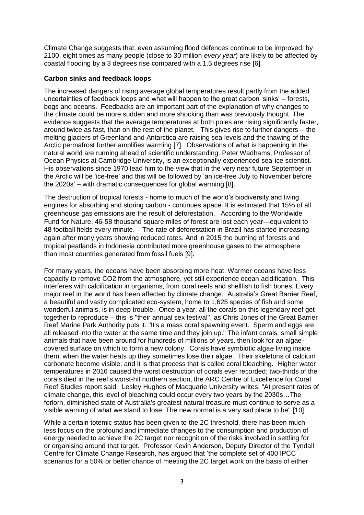Climate Change suggests that, even assuming flood defences continue to be improved, by 2100, eight times as many people (close to 30 million *every year*) are likely to be affected by coastal flooding by a 3 degrees rise compared with a 1.5 degrees rise [6].

#### **Carbon sinks and feedback loops**

The increased dangers of rising average global temperatures result partly from the added uncertainties of feedback loops and what will happen to the great carbon 'sinks' – forests, bogs and oceans. Feedbacks are an important part of the explanation of why changes to the climate could be more sudden and more shocking than was previously thought. The evidence suggests that the average temperatures at both poles are rising significantly faster, around twice as fast, than on the rest of the planet. This gives rise to further dangers – the melting glaciers of Greenland and Antarctica are raising sea levels and the thawing of the Arctic permafrost further amplifies warming [7]. Observations of what is happening in the natural world are running ahead of scientific understanding. Peter Wadhams, Professor of Ocean Physics at Cambridge University, is an exceptionally experienced sea-ice scientist. His observations since 1970 lead him to the view that in the very near future September in the Arctic will be 'ice-free' and this will be followed by 'an ice-free July to November before the 2020s' – with dramatic consequences for global warming [8].

The destruction of tropical forests - home to much of the world's biodiversity and living engines for absorbing and storing carbon - continues apace. It is estimated that 15% of all greenhouse gas emissions are the result of deforestation. According to the Worldwide Fund for Nature, 46-58 thousand square miles of forest are lost each year—equivalent to 48 football fields every minute. The rate of deforestation in Brazil has started increasing again after many years showing reduced rates. And in 2015 the burning of forests and tropical peatlands in Indonesia contributed more greenhouse gases to the atmosphere than most countries generated from fossil fuels [9].

For many years, the oceans have been absorbing more heat. Warmer oceans have less capacity to remove CO2 from the atmosphere, yet still experience ocean acidification. This interferes with calcification in organisms, from coral reefs and shellfish to fish bones. Every major reef in the world has been affected by climate change. Australia's Great Barrier Reef, a beautiful and vastly complicated eco-system, home to 1,625 species of fish and some wonderful animals, is in deep trouble. Once a year, all the corals on this legendary reef get together to reproduce – this is "their annual sex festival", as Chris Jones of the [Great Barrier](http://www.gbrmpa.gov.au/)  [Reef Marine Park Authority](http://www.gbrmpa.gov.au/) puts it. "It's a mass coral spawning event. Sperm and eggs are all released into the water at the same time and they join up." The infant corals, small simple animals that have been around for hundreds of millions of years, then look for an algaecovered surface on which to form a new colony. Corals have symbiotic algae living inside them; when the water heats up they sometimes lose their algae. Their skeletons of calcium carbonate become visible; and it is that process that is called coral bleaching. Higher water temperatures in 2016 caused the worst destruction of corals ever recorded; two-thirds of the corals died in the reef's worst-hit northern section, the [ARC Centre of Excellence for Coral](https://www.coralcoe.org.au/)  [Reef Studies](https://www.coralcoe.org.au/) report said. [Lesley Hughes](https://theconversation.com/profiles/lesley-hughes-5823) of Macquarie University [writes:](https://theconversation.com/the-great-barrier-reefs-new-normal-is-a-forlorn-sight-65876) "At present rates of climate change, this level of bleaching could occur every two years by the 2030s…The forlorn, diminished state of Australia's greatest natural treasure must continue to serve as a visible warning of what we stand to lose. The new normal is a very sad place to be" [10].

While a certain totemic status has been given to the 2C threshold, there has been much less focus on the profound and immediate changes to the consumption and production of energy needed to achieve the 2C target nor recognition of the risks involved in settling for or organising around that target. Professor Kevin Anderson, Deputy Director of the Tyndall Centre for Climate Change Research, has argued that 'the complete set of 400 IPCC scenarios for a 50% or better chance of meeting the 2C target work on the basis of either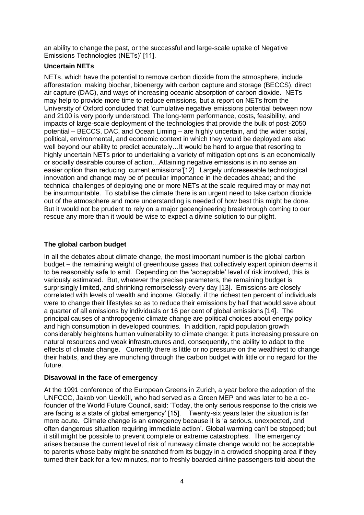an ability to change the past, or the successful and large-scale uptake of Negative Emissions Technologies (NETs)' [11].

#### **Uncertain NETs**

NETs, which have the potential to remove carbon dioxide from the atmosphere, include afforestation, making biochar, bioenergy with carbon capture and storage (BECCS), direct air capture (DAC), and ways of increasing oceanic absorption of carbon dioxide. NETs may help to provide more time to reduce emissions, but a report on NETs from the University of Oxford concluded that 'cumulative negative emissions potential between now and 2100 is very poorly understood. The long-term performance, costs, feasibility, and impacts of large-scale deployment of the technologies that provide the bulk of post-2050 potential – BECCS, DAC, and Ocean Liming – are highly uncertain, and the wider social, political, environmental, and economic context in which they would be deployed are also well beyond our ability to predict accurately…It would be hard to argue that resorting to highly uncertain NETs prior to undertaking a variety of mitigation options is an economically or socially desirable course of action…Attaining negative emissions is in no sense an easier option than reducing current emissions'[12]. Largely unforeseeable technological innovation and change may be of peculiar importance in the decades ahead; and the technical challenges of deploying one or more NETs at the scale required may or may not be insurmountable. To stabilise the climate there is an urgent need to take carbon dioxide out of the atmosphere and more understanding is needed of how best this might be done. But it would not be prudent to rely on a major geoengineering breakthrough coming to our rescue any more than it would be wise to expect a divine solution to our plight.

# **The global carbon budget**

In all the debates about climate change, the most important number is the global carbon budget – the remaining weight of greenhouse gases that collectively expert opinion deems it to be reasonably safe to emit. Depending on the 'acceptable' level of risk involved, this is variously estimated. But, whatever the precise parameters, the remaining budget is surprisingly limited, and shrinking remorselessly every day [13]. Emissions are closely correlated with levels of wealth and income. Globally, if the richest ten percent of individuals were to change their lifestyles so as to reduce their emissions by half that would save about a quarter of all emissions by individuals or 16 per cent of global emissions [14]. The principal causes of anthropogenic climate change are political choices about energy policy and high consumption in developed countries. In addition, rapid population growth considerably heightens human vulnerability to climate change: it puts increasing pressure on natural resources and weak infrastructures and, consequently, the ability to adapt to the effects of climate change. Currently there is little or no pressure on the wealthiest to change their habits, and they are munching through the carbon budget with little or no regard for the future.

#### **Disavowal in the face of emergency**

At the 1991 conference of the European Greens in Zurich, a year before the adoption of the UNFCCC, Jakob von Uexküll, who had served as a Green MEP and was later to be a cofounder of the World Future Council, said: 'Today, the only serious response to the crisis we are facing is a state of global emergency' [15]. Twenty-six years later the situation is far more acute. Climate change is an emergency because it is 'a serious, unexpected, and often dangerous situation requiring immediate action'. Global warming can't be stopped; but it still might be possible to prevent complete or extreme catastrophes. The emergency arises because the current level of risk of runaway climate change would not be acceptable to parents whose baby might be snatched from its buggy in a crowded shopping area if they turned their back for a few minutes, nor to freshly boarded airline passengers told about the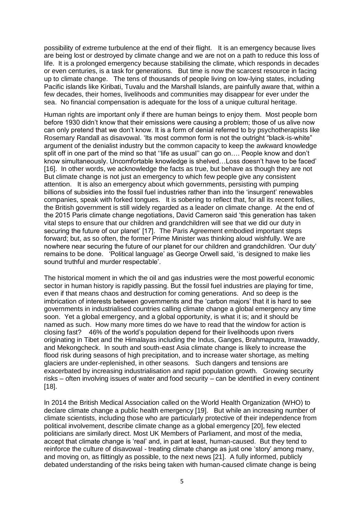possibility of extreme turbulence at the end of their flight. It is an emergency because lives are being lost or destroyed by climate change and we are not on a path to reduce this loss of life. It is a prolonged emergency because stabilising the climate, which responds in decades or even centuries, is a task for generations. But time is now the scarcest resource in facing up to climate change. The tens of thousands of people living on low-lying states, including Pacific islands like Kiribati, Tuvalu and the Marshall Islands, are painfully aware that, within a few decades, their homes, livelihoods and communities may disappear for ever under the sea. No financial compensation is adequate for the loss of a unique cultural heritage.

Human rights are important only if there are human beings to enjoy them. Most people born before 1930 didn't know that their emissions were causing a problem; those of us alive now can only pretend that we don't know. It is a form of denial referred to by psychotherapists like Rosemary Randall as disavowal. 'Its most common form is not the outright "black-is-white" argument of the denialist industry but the common capacity to keep the awkward knowledge split off in one part of the mind so that "life as usual" can go on.... People know and don't know simultaneously. Uncomfortable knowledge is shelved…Loss doesn't have to be faced' [16]. In other words, we acknowledge the facts as true, but behave as though they are not But climate change is not just an emergency to which few people give any consistent attention. It is also an emergency about which governments, persisting with pumping billions of subsidies into the fossil fuel industries rather than into the 'insurgent' renewables companies, speak with forked tongues. It is sobering to reflect that, for all its recent follies, the British government is still widely regarded as a leader on climate change. At the end of the 2015 Paris climate change negotiations, David Cameron said 'this generation has taken vital steps to ensure that our children and grandchildren will see that we did our duty in securing the future of our planet' [17]. The Paris Agreement embodied important steps forward; but, as so often, the former Prime Minister was thinking aloud wishfully. We are nowhere near securing the future of our planet for our children and grandchildren. 'Our duty' remains to be done. 'Political language' as George Orwell said, 'is designed to make lies sound truthful and murder respectable'.

The historical moment in which the oil and gas industries were the most powerful economic sector in human history is rapidly passing. But the fossil fuel industries are playing for time, even if that means chaos and destruction for coming generations. And so deep is the imbrication of interests between governments and the 'carbon majors' that it is hard to see governments in industrialised countries calling climate change a global emergency any time soon. Yet a global emergency, and a global opportunity, is what it is; and it should be named as such. How many more times do we have to read that the window for action is closing fast? 46% of the world's population depend for their livelihoods upon rivers originating in Tibet and the Himalayas including the Indus, Ganges, Brahmaputra, Irrawaddy, and Mekongcheck. In south and south-east Asia climate change is likely to increase the flood risk during seasons of high precipitation, and to increase water shortage, as melting glaciers are under-replenished, in other seasons. Such dangers and tensions are exacerbated by increasing industrialisation and rapid population growth. Growing security risks – often involving issues of water and food security – can be identified in every continent [18].

In 2014 the British Medical Association called on the World Health Organization (WHO) to declare climate change a public health emergency [19]. But while an increasing number of climate scientists, including those who are particularly protective of their independence from political involvement, describe climate change as a global emergency [20], few elected politicians are similarly direct. Most UK Members of Parliament, and most of the media, accept that climate change is 'real' and, in part at least, human-caused. But they tend to reinforce the culture of disavowal - treating climate change as just one 'story' among many, and moving on, as flittingly as possible, to the next news [21]. A fully informed, publicly debated understanding of the risks being taken with human-caused climate change is being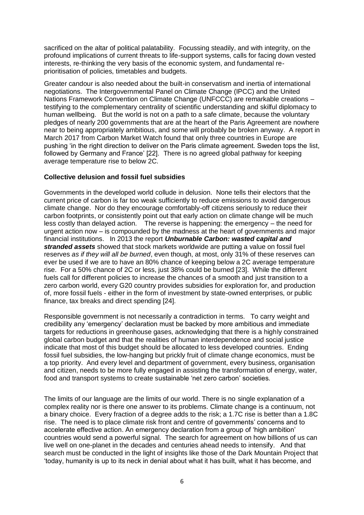sacrificed on the altar of political palatability. Focussing steadily, and with integrity, on the profound implications of current threats to life-support systems, calls for facing down vested interests, re-thinking the very basis of the economic system, and fundamental reprioritisation of policies, timetables and budgets.

Greater candour is also needed about the built-in conservatism and inertia of international negotiations. The Intergovernmental Panel on Climate Change (IPCC) and the United Nations Framework Convention on Climate Change (UNFCCC) are remarkable creations – testifying to the complementary centrality of scientific understanding and skilful diplomacy to human wellbeing. But the world is not on a path to a safe climate, because the voluntary pledges of nearly 200 governments that are at the heart of the Paris Agreement are nowhere near to being appropriately ambitious, and some will probably be broken anyway. A report in March 2017 from Carbon Market Watch found that only three countries in Europe are pushing 'in the right direction to deliver on the Paris climate agreement. Sweden tops the list, followed by Germany and France' [22]. There is no agreed global pathway for keeping average temperature rise to below 2C.

#### **Collective delusion and fossil fuel subsidies**

Governments in the developed world collude in delusion. None tells their electors that the current price of carbon is far too weak sufficiently to reduce emissions to avoid dangerous climate change. Nor do they encourage comfortably-off citizens seriously to reduce their carbon footprints, or consistently point out that early action on climate change will be much less costly than delayed action. The reverse is happening: the emergency – the need for urgent action now – is compounded by the madness at the heart of governments and major financial institutions. In 2013 the report *Unburnable Carbon: wasted capital and stranded assets* showed that stock markets worldwide are putting a value on fossil fuel reserves *as if they will all be burned*, even though, at most, only 31% of these reserves can ever be used if we are to have an 80% chance of keeping below a 2C average temperature rise. For a 50% chance of 2C or less, just 38% could be burned [23]. While the different fuels call for different policies to increase the chances of a smooth and just transition to a zero carbon world, every G20 country provides subsidies for exploration for, and production of, more fossil fuels - either in the form of investment by state-owned enterprises, or public finance, tax breaks and direct spending [24].

Responsible government is not necessarily a contradiction in terms. To carry weight and credibility any 'emergency' declaration must be backed by more ambitious and immediate targets for reductions in greenhouse gases, acknowledging that there is a highly constrained global carbon budget and that the realities of human interdependence and social justice indicate that most of this budget should be allocated to less developed countries. Ending fossil fuel subsidies, the low-hanging but prickly fruit of climate change economics, must be a top priority. And every level and department of government, every business, organisation and citizen, needs to be more fully engaged in assisting the transformation of energy, water, food and transport systems to create sustainable 'net zero carbon' societies.

The limits of our language are the limits of our world. There is no single explanation of a complex reality nor is there one answer to its problems. Climate change is a continuum, not a binary choice. Every fraction of a degree adds to the risk; a 1.7C rise is better than a 1.8C rise. The need is to place climate risk front and centre of governments' concerns and to accelerate effective action. An emergency declaration from a group of 'high ambition' countries would send a powerful signal. The search for agreement on how billions of us can live well on one-planet in the decades and centuries ahead needs to intensify. And that search must be conducted in the light of insights like those of the Dark Mountain Project that 'today, humanity is up to its neck in denial about what it has built, what it has become, and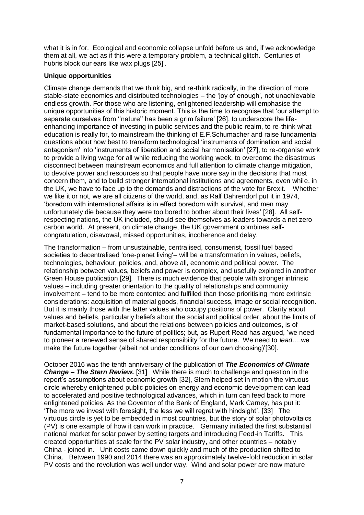what it is in for. Ecological and economic collapse unfold before us and, if we acknowledge them at all, we act as if this were a temporary problem, a technical glitch. Centuries of hubris block our ears like wax plugs [25]'.

#### **Unique opportunities**

Climate change demands that we think big, and re-think radically, in the direction of more stable-state economies and distributed technologies – the 'joy of enough', not unachievable endless growth. For those who are listening, enlightened leadership will emphasise the unique opportunities of this historic moment. This is the time to recognise that 'our attempt to separate ourselves from ''nature'' has been a grim failure' [26], to underscore the lifeenhancing importance of investing in public services and the public realm, to re-think what education is really for, to mainstream the thinking of E.F.Schumacher and raise fundamental questions about how best to transform technological 'instruments of domination and social antagonism' into 'instruments of liberation and social harmonisation' [27], to re-organise work to provide a living wage for all while reducing the working week, to overcome the disastrous disconnect between mainstream economics and full attention to climate change mitigation, to devolve power and resources so that people have more say in the decisions that most concern them, and to build stronger international institutions and agreements, even while, in the UK, we have to face up to the demands and distractions of the vote for Brexit. Whether we like it or not, we are all citizens of the world, and, as Ralf Dahrendorf put it in 1974, 'boredom with international affairs is in effect boredom with survival, and men may unfortunately die because they were too bored to bother about their lives' [28]. All selfrespecting nations, the UK included, should see themselves as leaders towards a net zero carbon world. At present, on climate change, the UK government combines selfcongratulation, disavowal, missed opportunities, incoherence and delay.

The transformation – from unsustainable, centralised, consumerist, fossil fuel based societies to decentralised 'one-planet living'– will be a transformation in values, beliefs, technologies, behaviour, policies, and, above all, economic and political power. The relationship between values, beliefs and power is complex, and usefully explored in another Green House publication [29]. There is much evidence that people with stronger intrinsic values – including greater orientation to the quality of relationships and community involvement – tend to be more contented and fulfilled than those prioritising more extrinsic considerations: acquisition of material goods, financial success, image or social recognition. But it is mainly those with the latter values who occupy positions of power. Clarity about values and beliefs, particularly beliefs about the social and political order, about the limits of market-based solutions, and about the relations between policies and outcomes, is of fundamental importance to the future of politics; but, as Rupert Read has argued, 'we need to pioneer a renewed sense of shared responsibility for the future. We need to *lead*….we make the future together (albeit not under conditions of our own choosing)'[30].

October 2016 was the tenth anniversary of the publication of *The Economics of Climate Change – The Stern Review.* [31] While there is much to challenge and question in the report's assumptions about economic growth [32], Stern helped set in motion the virtuous circle whereby enlightened public policies on energy and economic development can lead to accelerated and positive technological advances, which in turn can feed back to more enlightened policies. As the Governor of the Bank of England, Mark Carney, has put it: 'The more we invest with foresight, the less we will regret with hindsight'. [33] The virtuous circle is yet to be embedded in most countries, but the story of solar photovoltaics (PV) is one example of how it can work in practice. Germany initiated the first substantial national market for solar power by setting targets and introducing Feed-in Tariffs. This created opportunities at scale for the PV solar industry, and other countries – notably China - joined in. Unit costs came down quickly and much of the production shifted to China. Between 1990 and 2014 there was an approximately twelve-fold reduction in solar PV costs and the revolution was well under way. Wind and solar power are now mature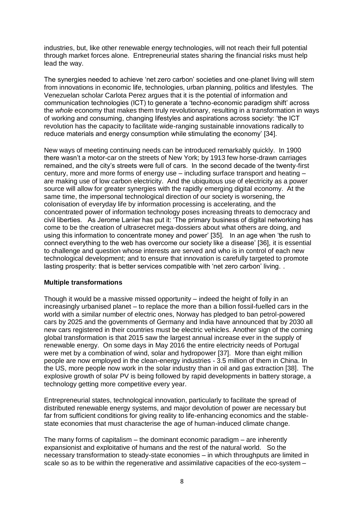industries, but, like other renewable energy technologies, will not reach their full potential through market forces alone. Entrepreneurial states sharing the financial risks must help lead the way.

The synergies needed to achieve 'net zero carbon' societies and one-planet living will stem from innovations in economic life, technologies, urban planning, politics and lifestyles. The Venezuelan scholar Carlota Perez argues that it is the potential of information and communication technologies (ICT) to generate a 'techno-economic paradigm shift' across the *whole* economy that makes them truly revolutionary, resulting in a transformation in ways of working and consuming, changing lifestyles and aspirations across society: 'the ICT revolution has the capacity to facilitate wide-ranging sustainable innovations radically to reduce materials and energy consumption while stimulating the economy' [34].

New ways of meeting continuing needs can be introduced remarkably quickly. In 1900 there wasn't a motor-car on the streets of New York; by 1913 few horse-drawn carriages remained, and the city's streets were full of cars. In the second decade of the twenty-first century, more and more forms of energy use – including surface transport and heating – are making use of low carbon electricity. And the ubiquitous use of electricity as a power source will allow for greater synergies with the rapidly emerging digital economy. At the same time, the impersonal technological direction of our society is worsening, the colonisation of everyday life by information processing is accelerating, and the concentrated power of information technology poses increasing threats to democracy and civil liberties. As Jerome Lanier has put it: 'The primary business of digital networking has come to be the creation of ultrasecret mega-dossiers about what others are doing, and using this information to concentrate money and power' [35]. In an age when 'the rush to connect everything to the web has overcome our society like a disease' [36], it is essential to challenge and question whose interests are served and who is in control of each new technological development; and to ensure that innovation is carefully targeted to promote lasting prosperity: that is better services compatible with 'net zero carbon' living. .

#### **Multiple transformations**

Though it would be a massive missed opportunity – indeed the height of folly in an increasingly urbanised planet – to replace the more than a billion fossil-fuelled cars in the world with a similar number of electric ones, Norway has pledged to ban petrol-powered cars by 2025 and the governments of Germany and India have announced that by 2030 all new cars registered in their countries must be electric vehicles. Another sign of the coming global transformation is that 2015 saw the largest annual increase ever in the supply of renewable energy. On some days in May 2016 the entire electricity needs of Portugal were met by a combination of wind, solar and hydropower [37]. More than eight million [people](https://www.theguardian.com/environment/2016/may/25/global-clean-energy-renewable-employment-rose-5-in-2015-figures-show) are now employed in the clean-energy industries - 3.5 million of them in China. In the US, [more people now work in the solar industry](https://www.theguardian.com/business/2016/jan/12/us-solar-industry-employees-grows-oil-gas) than in oil and gas extraction [38]. The explosive growth of solar PV is being followed by rapid developments in battery storage, a technology getting more competitive every year.

Entrepreneurial states, technological innovation, particularly to facilitate the spread of distributed renewable energy systems, and major devolution of power are necessary but far from sufficient conditions for giving reality to life-enhancing economics and the stablestate economies that must characterise the age of human-induced climate change.

The many forms of capitalism – the dominant economic paradigm – are inherently expansionist and exploitative of humans and the rest of the natural world. So the necessary transformation to steady-state economies – in which throughputs are limited in scale so as to be within the regenerative and assimilative capacities of the eco-system –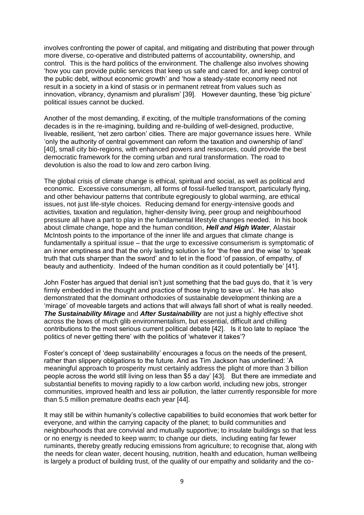involves confronting the power of capital, and mitigating and distributing that power through more diverse, co-operative and distributed patterns of accountability, ownership, and control. This is the hard politics of the environment. The challenge also involves showing 'how you can provide public services that keep us safe and cared for, and keep control of the public debt, without economic growth' and 'how a steady-state economy need not result in a society in a kind of stasis or in permanent retreat from values such as innovation, vibrancy, dynamism and pluralism' [39]. However daunting, these 'big picture' political issues cannot be ducked.

Another of the most demanding, if exciting, of the multiple transformations of the coming decades is in the re-imagining, building and re-building of well-designed, productive, liveable, resilient, 'net zero carbon' cities. There are major governance issues here. While 'only the authority of central government can reform the taxation and ownership of land' [40], small city bio-regions, with enhanced powers and resources, could provide the best democratic framework for the coming urban and rural transformation. The road to devolution is also the road to low and zero carbon living.

The global crisis of climate change is ethical, spiritual and social, as well as political and economic. Excessive consumerism, all forms of fossil-fuelled transport, particularly flying, and other behaviour patterns that contribute egregiously to global warming, are ethical issues, not just life-style choices. Reducing demand for energy-intensive goods and activities, taxation and regulation, higher-density living, peer group and neighbourhood pressure all have a part to play in the fundamental lifestyle changes needed. In his book about climate change, hope and the human condition, *Hell and High Water*, Alastair McIntosh points to the importance of the inner life and argues that climate change is fundamentally a spiritual issue – that the urge to excessive consumerism is symptomatic of an inner emptiness and that the only lasting solution is for 'the free and the wise' to 'speak truth that cuts sharper than the sword' and to let in the flood 'of passion, of empathy, of beauty and authenticity. Indeed of the human condition as it could potentially be' [41].

John Foster has argued that denial isn't just something that the bad guys do, that it 'is very firmly embedded in the thought and practice of those trying to save us'. He has also demonstrated that the dominant orthodoxies of sustainable development thinking are a 'mirage' of moveable targets and actions that will always fall short of what is really needed. *The Sustainability Mirage* and *After Sustainability* are not just a highly effective shot across the bows of much glib environmentalism, but essential, difficult and chilling contributions to the most serious current political debate [42]. Is it too late to replace 'the politics of never getting there' with the politics of 'whatever it takes'?

Foster's concept of 'deep sustainability' encourages a focus on the needs of the present, rather than slippery obligations to the future. And as Tim Jackson has underlined: 'A meaningful approach to prosperity must certainly address the plight of more than 3 billion people across the world still living on less than \$5 a day' [43]. But there are immediate and substantial benefits to moving rapidly to a low carbon world, including new jobs, stronger communities, improved health and less air pollution, the latter currently responsible for more than 5.5 million premature deaths each year [44].

It may still be within humanity's collective capabilities to build economies that work better for everyone, and within the carrying capacity of the planet; to build communities and neighbourhoods that are convivial and mutually supportive; to insulate buildings so that less or no energy is needed to keep warm; to change our diets, including eating far fewer ruminants, thereby greatly reducing emissions from agriculture; to recognise that, along with the needs for clean water, decent housing, nutrition, health and education, human wellbeing is largely a product of building trust, of the quality of our empathy and solidarity and the co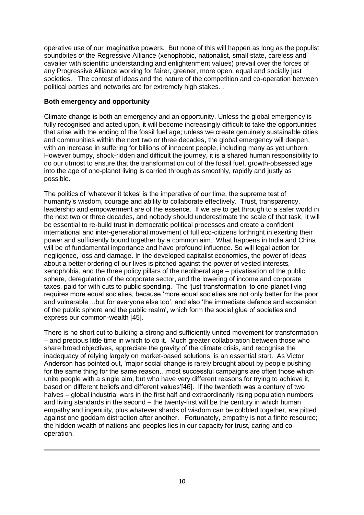operative use of our imaginative powers. But none of this will happen as long as the populist soundbites of the Regressive Alliance (xenophobic, nationalist, small state, careless and cavalier with scientific understanding and enlightenment values) prevail over the forces of any Progressive Alliance working for fairer, greener, more open, equal and socially just societies. The contest of ideas and the nature of the competition and co-operation between political parties and networks are for extremely high stakes. .

## **Both emergency and opportunity**

Climate change is both an emergency and an opportunity. Unless the global emergency is fully recognised and acted upon, it will become increasingly difficult to take the opportunities that arise with the ending of the fossil fuel age; unless we create genuinely sustainable cities and communities within the next two or three decades, the global emergency will deepen, with an increase in suffering for billions of innocent people, including many as yet unborn. However bumpy, shock-ridden and difficult the journey, it is a shared human responsibility to do our utmost to ensure that the transformation out of the fossil fuel, growth-obsessed age into the age of one-planet living is carried through as smoothly, rapidly and justly as possible.

The politics of 'whatever it takes' is the imperative of our time, the supreme test of humanity's wisdom, courage and ability to collaborate effectively. Trust, transparency, leadership and empowerment are of the essence. If we are to get through to a safer world in the next two or three decades, and nobody should underestimate the scale of that task, it will be essential to re-build trust in democratic political processes and create a confident international and inter-generational movement of full eco-citizens forthright in exerting their power and sufficiently bound together by a common aim. What happens in India and China will be of fundamental importance and have profound influence. So will legal action for negligence, loss and damage. In the developed capitalist economies, the power of ideas about a better ordering of our lives is pitched against the power of vested interests, xenophobia, and the three policy pillars of the neoliberal age – privatisation of the public sphere, deregulation of the corporate sector, and the lowering of income and corporate taxes, paid for with cuts to public spending. The 'just transformation' to one-planet living requires more equal societies, because 'more equal societies are not only better for the poor and vulnerable ...but for everyone else too', and also 'the immediate defence and expansion of the public sphere and the public realm', which form the social glue of societies and express our common-wealth [45].

There is no short cut to building a strong and sufficiently united movement for transformation – and precious little time in which to do it. Much greater collaboration between those who share broad objectives, appreciate the gravity of the climate crisis, and recognise the inadequacy of relying largely on market-based solutions, is an essential start. As Victor Anderson has pointed out, 'major social change is rarely brought about by people pushing for the same thing for the same reason…most successful campaigns are often those which unite people with a single aim, but who have very different reasons for trying to achieve it, based on different beliefs and different values'[46]. If the twentieth was a century of two halves – global industrial wars in the first half and extraordinarily rising population numbers and living standards in the second – the twenty-first will be the century in which human empathy and ingenuity, plus whatever shards of wisdom can be cobbled together, are pitted against one goddam distraction after another. Fortunately, empathy is not a finite resource; the hidden wealth of nations and peoples lies in our capacity for trust, caring and cooperation.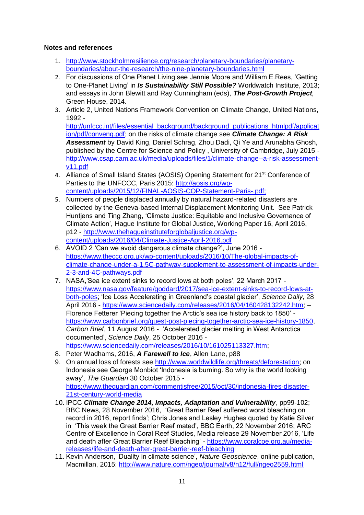# **Notes and references**

- 1. [http://www.stockholmresilience.org/research/planetary-boundaries/planetary](http://www.stockholmresilience.org/research/planetary-boundaries/planetary-boundaries/about-the-research/the-nine-planetary-boundaries.html)[boundaries/about-the-research/the-nine-planetary-boundaries.html](http://www.stockholmresilience.org/research/planetary-boundaries/planetary-boundaries/about-the-research/the-nine-planetary-boundaries.html)
- 2. For discussions of One Planet Living see Jennie Moore and William E.Rees, 'Getting to One-Planet Living' in *Is Sustainability Still Possible?* Worldwatch Institute, 2013; and essays in John Blewitt and Ray Cunningham (eds), *The Post-Growth Project,* Green House, 2014.
- 3. Article 2, United Nations Framework Convention on Climate Change, United Nations, 1992 -

[http://unfccc.int/files/essential\\_background/background\\_publications\\_htmlpdf/applicat](http://unfccc.int/files/essential_background/background_publications_htmlpdf/application/pdf/conveng.pdf) [ion/pdf/conveng.pdf;](http://unfccc.int/files/essential_background/background_publications_htmlpdf/application/pdf/conveng.pdf) on the risks of climate change see *Climate Change: A Risk Assessment* by David King, Daniel Schrag, Zhou Dadi, Qi Ye and Arunabha Ghosh, published by the Centre for Science and Policy , University of Cambridge, July 2015 [http://www.csap.cam.ac.uk/media/uploads/files/1/climate-change--a-risk-assessment](http://www.csap.cam.ac.uk/media/uploads/files/1/climate-change--a-risk-assessment-v11.pdf)[v11.pdf](http://www.csap.cam.ac.uk/media/uploads/files/1/climate-change--a-risk-assessment-v11.pdf)

- 4. Alliance of Small Island States (AOSIS) Opening Statement for 21<sup>st</sup> Conference of Parties to the UNFCCC, Paris 2015: [http://aosis.org/wp](http://aosis.org/wp-content/uploads/2015/12/FINAL-AOSIS-COP-Statement-Paris-.pdf)[content/uploads/2015/12/FINAL-AOSIS-COP-Statement-Paris-.pdf;](http://aosis.org/wp-content/uploads/2015/12/FINAL-AOSIS-COP-Statement-Paris-.pdf)
- 5. Numbers of people displaced annually by natural hazard-related disasters are collected by the Geneva-based Internal Displacement Monitoring Unit. See Patrick Huntjens and Ting Zhang, 'Climate Justice: Equitable and Inclusive Governance of Climate Action', Hague Institute for Global Justice, Working Paper 16, April 2016, p12 - [http://www.thehagueinstituteforglobaljustice.org/wp](http://www.thehagueinstituteforglobaljustice.org/wp-content/uploads/2016/04/Climate-Justice-April-2016.pdf)[content/uploads/2016/04/Climate-Justice-April-2016.pdf](http://www.thehagueinstituteforglobaljustice.org/wp-content/uploads/2016/04/Climate-Justice-April-2016.pdf)
- 6. AVOID 2 'Can we avoid dangerous climate change?', June 2016 [https://www.theccc.org.uk/wp-content/uploads/2016/10/The-global-impacts-of](https://www.theccc.org.uk/wp-content/uploads/2016/10/The-global-impacts-of-climate-change-under-a-1.5C-pathway-supplement-to-assessment-of-impacts-under-2-3-and-4C-pathways.pdf)[climate-change-under-a-1.5C-pathway-supplement-to-assessment-of-impacts-under-](https://www.theccc.org.uk/wp-content/uploads/2016/10/The-global-impacts-of-climate-change-under-a-1.5C-pathway-supplement-to-assessment-of-impacts-under-2-3-and-4C-pathways.pdf)[2-3-and-4C-pathways.pdf](https://www.theccc.org.uk/wp-content/uploads/2016/10/The-global-impacts-of-climate-change-under-a-1.5C-pathway-supplement-to-assessment-of-impacts-under-2-3-and-4C-pathways.pdf)
- 7. NASA,'Sea ice extent sinks to record lows at both poles', 22 March 2017 [https://www.nasa.gov/feature/goddard/2017/sea-ice-extent-sinks-to-record-lows-at](https://www.nasa.gov/feature/goddard/2017/sea-ice-extent-sinks-to-record-lows-at-both-poles)[both-poles;](https://www.nasa.gov/feature/goddard/2017/sea-ice-extent-sinks-to-record-lows-at-both-poles) 'Ice Loss Accelerating in Greenland's coastal glacier', *Science Daily*, 28 April 2016 - [https://www.sciencedaily.com/releases/2016/04/160428132242.htm;](https://www.sciencedaily.com/releases/2016/04/160428132242.htm) – Florence Fetterer 'Piecing together the Arctic's sea ice history back to 1850' [https://www.carbonbrief.org/guest-post-piecing-together-arctic-sea-ice-history-1850,](https://www.carbonbrief.org/guest-post-piecing-together-arctic-sea-ice-history-1850) *Carbon Brief*, 11 August 2016 - 'Accelerated glacier melting in West Antarctica documented', *Science Daily*, 25 October 2016 [https://www.sciencedaily.com/releases/2016/10/161025113327.htm;](https://www.sciencedaily.com/releases/2016/10/161025113327.htm)
- 8. Peter Wadhams, 2016, *A Farewell to Ice*, Allen Lane, p88
- 9. On annual loss of forests see [http://www.worldwildlife.org/threats/deforestation;](http://www.worldwildlife.org/threats/deforestation) on Indonesia see George Monbiot 'Indonesia is burning. So why is the world looking away', *The Guardian* 30 October 2015 [https://www.theguardian.com/commentisfree/2015/oct/30/indonesia-fires-disaster-](https://www.theguardian.com/commentisfree/2015/oct/30/indonesia-fires-disaster-21st-century-world-media)[21st-century-world-media](https://www.theguardian.com/commentisfree/2015/oct/30/indonesia-fires-disaster-21st-century-world-media)
- 10. IPCC *Climate Change 2014, Impacts, Adaptation and Vulnerability*, pp99-102; BBC News, 28 November 2016, 'Great Barrier Reef suffered worst bleaching on record in 2016, report finds'; Chris Jones and Lesley Hughes quoted by Katie Silver in 'This week the Great Barrier Reef mated', BBC Earth, 22 November 2016; ARC Centre of Excellence in Coral Reef Studies, Media release 29 November 2016, 'Life and death after Great Barrier Reef Bleaching' - [https://www.coralcoe.org.au/media](https://www.coralcoe.org.au/media-releases/life-and-death-after-great-barrier-reef-bleaching)[releases/life-and-death-after-great-barrier-reef-bleaching](https://www.coralcoe.org.au/media-releases/life-and-death-after-great-barrier-reef-bleaching)
- 11. Kevin Anderson, 'Duality in climate science', *Nature Geoscience*, online publication, Macmillan, 2015:<http://www.nature.com/ngeo/journal/v8/n12/full/ngeo2559.html>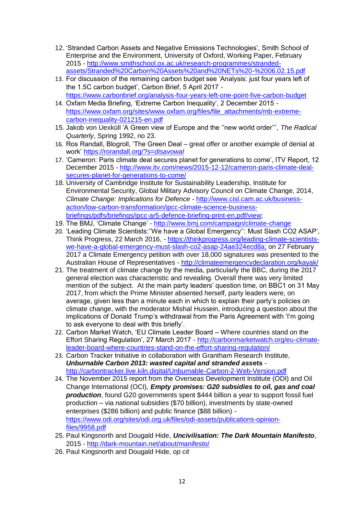- 12. 'Stranded Carbon Assets and Negative Emissions Technologies', Smith School of Enterprise and the Environment, University of Oxford, Working Paper, February 2015 - [http://www.smithschool.ox.ac.uk/research-programmes/stranded](http://www.smithschool.ox.ac.uk/research-programmes/stranded-assets/Stranded%20Carbon%20Assets%20and%20NETs%20-%2006.02.15.pdf)[assets/Stranded%20Carbon%20Assets%20and%20NETs%20-%2006.02.15.pdf](http://www.smithschool.ox.ac.uk/research-programmes/stranded-assets/Stranded%20Carbon%20Assets%20and%20NETs%20-%2006.02.15.pdf)
- 13. For discussion of the remaining carbon budget see 'Analysis: just four years left of the 1.5C carbon budget', Carbon Brief, 5 April 2017 <https://www.carbonbrief.org/analysis-four-years-left-one-point-five-carbon-budget>
- 14. Oxfam Media Briefing, 'Extreme Carbon Inequality', 2 December 2015 [https://www.oxfam.org/sites/www.oxfam.org/files/file\\_attachments/mb-extreme](https://www.oxfam.org/sites/www.oxfam.org/files/file_attachments/mb-extreme-carbon-inequality-021215-en.pdf)[carbon-inequality-021215-en.pdf](https://www.oxfam.org/sites/www.oxfam.org/files/file_attachments/mb-extreme-carbon-inequality-021215-en.pdf)
- 15. Jakob von Uexküll 'A Green view of Europe and the ''new world order''', *The Radical Quarterly*, Spring 1992, no 23.
- 16. Ros Randall, Blogroll, 'The Green Deal great offer or another example of denial at work' [https://rorandall.org/?s=](https://rorandall.org/?s=disavowal)*disavowal*
- 17. 'Cameron: Paris climate deal secures planet for generations to come', ITV Report, 12 December 2015 - [http://www.itv.com/news/2015-12-12/cameron-paris-climate-deal](http://www.itv.com/news/2015-12-12/cameron-paris-climate-deal-secures-planet-for-generations-to-come/)[secures-planet-for-generations-to-come/](http://www.itv.com/news/2015-12-12/cameron-paris-climate-deal-secures-planet-for-generations-to-come/)
- 18. University of Cambridge Institute for Sustainability Leadership, Institute for Environmental Security, Global Military Advisory Council on Climate Change, 2014*, Climate Change: Implications for Defence* - [http://www.cisl.cam.ac.uk/business](http://www.cisl.cam.ac.uk/business-action/low-carbon-transformation/ipcc-climate-science-business-briefings/pdfs/briefings/ipcc-ar5-defence-briefing-print-en.pdf/view)[action/low-carbon-transformation/ipcc-climate-science-business](http://www.cisl.cam.ac.uk/business-action/low-carbon-transformation/ipcc-climate-science-business-briefings/pdfs/briefings/ipcc-ar5-defence-briefing-print-en.pdf/view)[briefings/pdfs/briefings/ipcc-ar5-defence-briefing-print-en.pdf/view;](http://www.cisl.cam.ac.uk/business-action/low-carbon-transformation/ipcc-climate-science-business-briefings/pdfs/briefings/ipcc-ar5-defence-briefing-print-en.pdf/view)
- 19. The BMJ, 'Climate Change' <http://www.bmj.com/campaign/climate-change>
- 20. 'Leading Climate Scientists:''We have a Global Emergency'': Must Slash CO2 ASAP', Think Progress, 22 March 2016, - [https://thinkprogress.org/leading-climate-scientists](https://thinkprogress.org/leading-climate-scientists-we-have-a-global-emergency-must-slash-co2-asap-24ae324ecd8a)[we-have-a-global-emergency-must-slash-co2-asap-24ae324ecd8a;](https://thinkprogress.org/leading-climate-scientists-we-have-a-global-emergency-must-slash-co2-asap-24ae324ecd8a) on 27 February 2017 a Climate Emergency petition with over 18,000 signatures was presented to the Australian House of Representatives - <http://climateemergencydeclaration.org/kayak/>
- 21. The treatment of climate change by the media, particularly the BBC, during the 2017 general election was characteristic and revealing. Overall there was very limited mention of the subject. At the main party leaders' question time, on BBC1 on 31 May 2017, from which the Prime Minister absented herself, party leaders were, on average, given less than a minute each in which to explain their party's policies on climate change, with the moderator Mishal Hussein, introducing a question about the implications of Donald Trump's withdrawal from the Paris Agreement with 'I'm going to ask everyone to deal with this briefly'.
- 22. Carbon Market Watch, 'EU Climate Leader Board Where countries stand on the Effort Sharing Regulation', 27 March 2017 - [http://carbonmarketwatch.org/eu-climate](http://carbonmarketwatch.org/eu-climate-leader-board-where-countries-stand-on-the-effort-sharing-regulation/)[leader-board-where-countries-stand-on-the-effort-sharing-regulation/](http://carbonmarketwatch.org/eu-climate-leader-board-where-countries-stand-on-the-effort-sharing-regulation/)
- 23. Carbon Tracker Initiative in collaboration with Grantham Research Institute, *Unburnable Carbon 2013: wasted capital and stranded ass***ets** <http://carbontracker.live.kiln.digital/Unburnable-Carbon-2-Web-Version.pdf>
- 24. The November 2015 report from the Overseas Development Institute (ODI) and Oil Change International (OCI), *Empty promises: G20 subsidies to oil, gas and coal production*, found G20 governments spent \$444 billion a year to support fossil fuel production – via national subsidies (\$70 billion), investments by state-owned enterprises (\$286 billion) and public finance (\$88 billion) [https://www.odi.org/sites/odi.org.uk/files/odi-assets/publications-opinion](https://www.odi.org/sites/odi.org.uk/files/odi-assets/publications-opinion-files/9958.pdf)[files/9958.pdf](https://www.odi.org/sites/odi.org.uk/files/odi-assets/publications-opinion-files/9958.pdf)
- 25. Paul Kingsnorth and Dougald Hide, *Uncivilisation: The Dark Mountain Manifesto*, 2015 - <http://dark-mountain.net/about/manifesto/>
- 26. Paul Kingsnorth and Dougald Hide, *op cit*